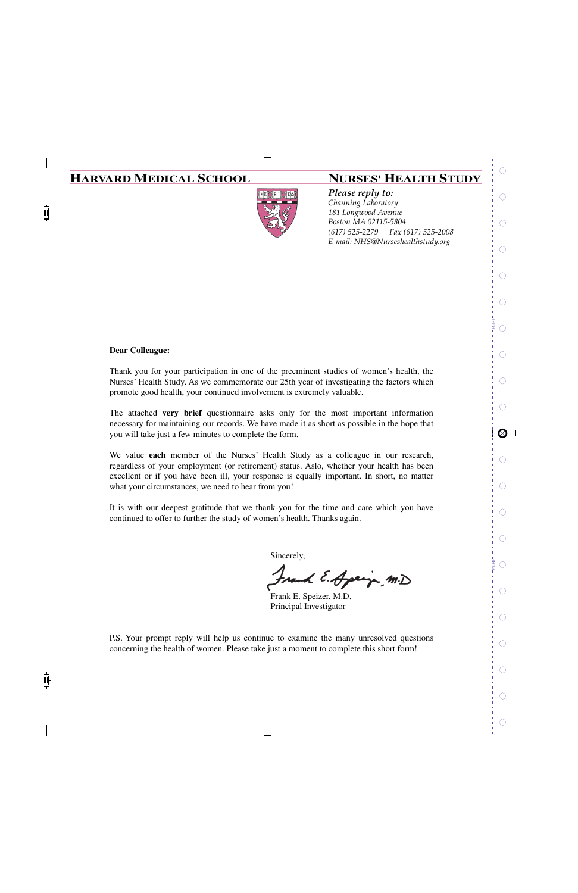### **HARVARD MEDICAL SCHOOL NURSES' HEALTH STUDY**



PERF PERF

*Please reply to: Channing Laboratory 181 Longwood Avenue Boston MA 02115-5804 (617) 525-2279 Fax (617) 525-2008 E-mail: NHS@Nurseshealthstudy.org*

### **Dear Colleague:**

Thank you for your participation in one of the preeminent studies of women's health, the Nurses' Health Study. As we commemorate our 25th year of investigating the factors which promote good health, your continued involvement is extremely valuable.

The attached **very brief** questionnaire asks only for the most important information necessary for maintaining our records. We have made it as short as possible in the hope that you will take just a few minutes to complete the form.

We value **each** member of the Nurses' Health Study as a colleague in our research, regardless of your employment (or retirement) status. Aslo, whether your health has been excellent or if you have been ill, your response is equally important. In short, no matter what your circumstances, we need to hear from you!

It is with our deepest gratitude that we thank you for the time and care which you have continued to offer to further the study of women's health. Thanks again.

Sincerely,

Frank E. Apringe M.D

Frank E. Speizer, M.D. Principal Investigator

P.S. Your prompt reply will help us continue to examine the many unresolved questions concerning the health of women. Please take just a moment to complete this short form!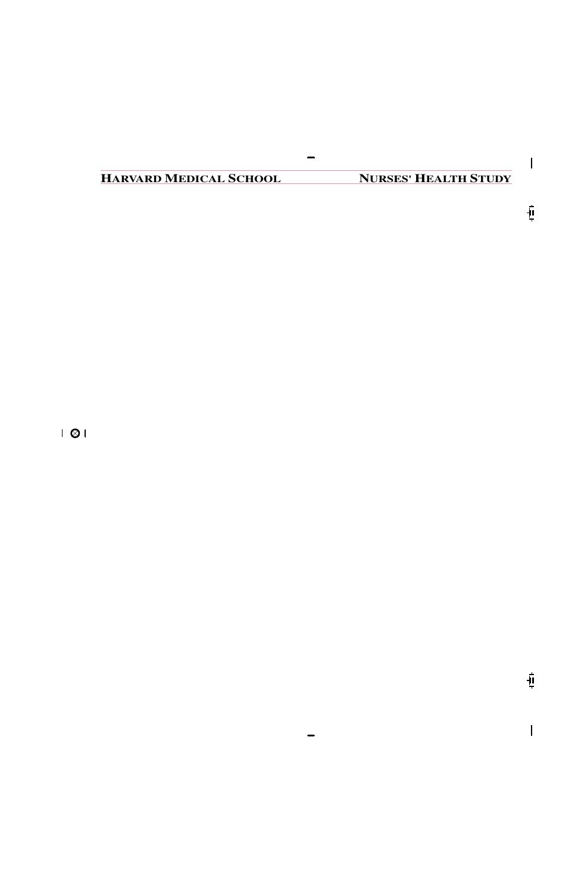## **HARVARD MEDICAL SCHOOL NURSES' HEALTH STUDY**

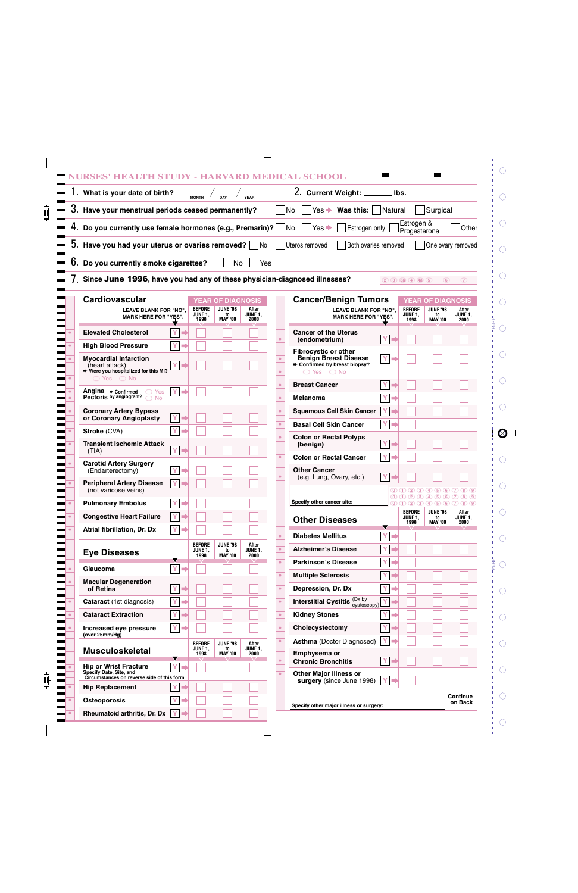# **NURSES' HEALTH STUDY - HARVARD MEDICAL SCHOOL**

ļ

|                          |           | 1. What is your date of birth?                                                                 |                                                     | <b>MONTH</b>                     | DAY                                               | <b>YEAR</b>              |                        |                                                                                          | 2. Current Weight: ______               |         | lbs.                                                                                           |                                                   |                                           |
|--------------------------|-----------|------------------------------------------------------------------------------------------------|-----------------------------------------------------|----------------------------------|---------------------------------------------------|--------------------------|------------------------|------------------------------------------------------------------------------------------|-----------------------------------------|---------|------------------------------------------------------------------------------------------------|---------------------------------------------------|-------------------------------------------|
|                          |           | 3. Have your menstrual periods ceased permanently?                                             | Surgical<br>$Yes$ <b>Was this:</b><br>Natural<br>No |                                  |                                                   |                          |                        |                                                                                          |                                         |         |                                                                                                |                                                   |                                           |
|                          |           | $4.$ Do you currently use female hormones (e.g., Premarin)? $\lfloor$                          |                                                     |                                  |                                                   |                          | No                     | $Yes$ $\rightarrow$                                                                      | Estrogen only                           |         | Estrogen &<br>Progesterone                                                                     |                                                   | Other                                     |
|                          |           | $5.$ Have you had your uterus or ovaries removed? $\Box$ No                                    |                                                     |                                  |                                                   |                          |                        | Uteros removed                                                                           | Both ovaries removed                    |         |                                                                                                |                                                   | One ovary removed                         |
|                          |           | Do you currently smoke cigarettes?                                                             |                                                     |                                  | No                                                | Yes                      |                        |                                                                                          |                                         |         |                                                                                                |                                                   |                                           |
|                          |           | 7. Since June 1996, have you had any of these physician-diagnosed illnesses?                   |                                                     |                                  |                                                   |                          |                        |                                                                                          |                                         |         | $(2)$ $(3)$ $(3a)$ $(4)$ $(4a)$ $(5)$                                                          | $\circ$                                           | $\circled{7}$                             |
|                          |           | <b>Cardiovascular</b><br>LEAVE BLANK FOR "NO".<br><b>MARK HERE FOR "YES".</b>                  |                                                     | <b>BEFORE</b><br>JUNE 1,         | <b>YEAR OF DIAGNOSIS</b><br><b>JUNE '98</b><br>to | After<br>JUNE 1,         |                        | <b>Cancer/Benign Tumors</b><br>LEAVE BLANK FOR "NO",                                     |                                         |         | BEFORE<br>JUNE 1,                                                                              | <b>YEAR OF DIAGNOSIS</b><br><b>JUNE '98</b><br>to | After<br>JUNE 1,                          |
|                          |           | <b>Elevated Cholesterol</b>                                                                    |                                                     | 1998                             | <b>MAY '00</b>                                    | 2000                     |                        | <b>Cancer of the Uterus</b>                                                              | <b>MARK HERE FOR "YES".</b>             |         | 1998                                                                                           | <b>MAY '00</b>                                    | 2000                                      |
|                          |           | <b>High Blood Pressure</b>                                                                     | m                                                   |                                  |                                                   |                          | $\bullet$              | (endometrium)                                                                            |                                         | Y       |                                                                                                |                                                   |                                           |
|                          |           | <b>Myocardial Infarction</b><br>(heart attack)<br>→ Were you hospitalized for this MI?         | n.                                                  |                                  |                                                   |                          | $\bullet$<br>$\bullet$ | <b>Fibrocystic or other</b><br>Confirmed by breast biopsy?<br>$\bigcap$ Yes $\bigcap$ No | <b>Benign Breast Disease</b>            | Y       |                                                                                                |                                                   |                                           |
|                          |           | $\bigcirc$ Yes $\bigcirc$ No                                                                   |                                                     |                                  |                                                   |                          | $\bullet$              | <b>Breast Cancer</b>                                                                     |                                         | Y<br>m  |                                                                                                |                                                   |                                           |
|                          |           | Angina $\rightarrow$ Confirmed<br>$\bigcirc$ Yes<br><b>Pectoris by angiogram?</b> $\bigcap$ No | $Y \Rightarrow$                                     |                                  |                                                   |                          | $\bullet$              | <b>Melanoma</b>                                                                          |                                         |         |                                                                                                |                                                   |                                           |
|                          |           | <b>Coronary Artery Bypass</b><br>or Coronary Angioplasty                                       | н                                                   |                                  |                                                   |                          | $\bullet$              |                                                                                          | <b>Squamous Cell Skin Cancer</b>        | Y<br>m  |                                                                                                |                                                   |                                           |
|                          |           | Stroke (CVA)                                                                                   | Y<br>m)                                             |                                  |                                                   |                          | $\bullet$              | <b>Basal Cell Skin Cancer</b>                                                            |                                         |         |                                                                                                |                                                   |                                           |
|                          |           | <b>Transient Ischemic Attack</b>                                                               | Y.<br>n)                                            |                                  |                                                   |                          | $\bullet$              | <b>Colon or Rectal Polyps</b><br>(benign)                                                |                                         | Y       |                                                                                                |                                                   |                                           |
|                          |           | (TIA)<br><b>Carotid Artery Surgery</b>                                                         |                                                     |                                  |                                                   |                          | $\bullet$              | <b>Colon or Rectal Cancer</b>                                                            |                                         | Y       |                                                                                                |                                                   |                                           |
|                          |           | (Endarterectomy)                                                                               | $\overline{Y}$ $\Rightarrow$                        |                                  |                                                   |                          |                        | <b>Other Cancer</b><br>(e.g. Lung, Ovary, etc.)                                          |                                         |         |                                                                                                |                                                   |                                           |
|                          |           | <b>Peripheral Artery Disease</b><br>(not varicose veins)                                       | Y<br>ш                                              |                                  |                                                   |                          |                        |                                                                                          |                                         |         | $\left( 0 \right)$ $\left( 1 \right)$ $\left( 2 \right)$ $\left( 3 \right)$ $\left( 4 \right)$ | (5)<br><b>6</b>                                   |                                           |
|                          |           | <b>Pulmonary Embolus</b>                                                                       | Y<br>m)                                             |                                  |                                                   |                          |                        | Specify other cancer site:                                                               |                                         |         |                                                                                                |                                                   | $(1) (1) (2) (3) (4) (5) (6) (7) (8) (9)$ |
| $\overline{\phantom{a}}$ | $\bullet$ | <b>Congestive Heart Failure</b>                                                                | Y                                                   |                                  |                                                   |                          |                        | <b>Other Diseases</b>                                                                    |                                         |         | BEFORE<br>JUNE 1.<br>1998                                                                      | <b>JUNE '98</b><br>to<br><b>MAY '00</b>           | After<br>JUNE 1,<br>2000                  |
|                          |           | Atrial fibrillation, Dr. Dx                                                                    | Y.<br>m)                                            |                                  |                                                   |                          | $\bullet$              | <b>Diabetes Mellitus</b>                                                                 |                                         | Υ       |                                                                                                |                                                   |                                           |
|                          |           | <b>Eye Diseases</b>                                                                            |                                                     | <b>BEFORE</b><br>JUNE 1.<br>1998 | <b>JUNE '98</b><br>to<br><b>MAY '00</b>           | After<br>JUNE 1,<br>2000 | $\bullet$              | <b>Alzheimer's Disease</b>                                                               |                                         | Y       |                                                                                                |                                                   |                                           |
|                          |           | Glaucoma                                                                                       | Y.<br>a)                                            |                                  |                                                   |                          | $\bullet$              | <b>Parkinson's Disease</b>                                                               |                                         | Y       |                                                                                                |                                                   |                                           |
|                          |           | <b>Macular Degeneration</b>                                                                    |                                                     |                                  |                                                   |                          | $\bullet$              | <b>Multiple Sclerosis</b>                                                                |                                         | Y       |                                                                                                |                                                   |                                           |
|                          |           | of Retina                                                                                      | Y<br>n)                                             |                                  |                                                   |                          | $\bullet$              | Depression, Dr. Dx                                                                       |                                         | Y       |                                                                                                |                                                   |                                           |
|                          |           | Cataract (1st diagnosis)                                                                       | $\rightarrow$                                       |                                  |                                                   |                          | $\bullet$              | <b>Interstitial Cystitis</b>                                                             | (Dx by<br>cystoscopy)                   | Y       |                                                                                                |                                                   |                                           |
|                          |           | <b>Cataract Extraction</b>                                                                     | E                                                   |                                  |                                                   |                          | $\bullet$              | <b>Kidney Stones</b>                                                                     |                                         |         |                                                                                                |                                                   |                                           |
|                          |           | Increased eye pressure<br>(over $25mm/Hg$ )                                                    | m.                                                  |                                  |                                                   |                          | $\bullet$              | Cholecystectomy                                                                          |                                         | Υ       |                                                                                                |                                                   |                                           |
|                          |           | <b>Musculoskeletal</b>                                                                         |                                                     | <b>BEFORE</b><br>JUNE 1,<br>1998 | <b>JUNE '98</b><br>to<br><b>MAY '00</b>           | After<br>JUNE 1,<br>2000 | $\bullet$              | Emphysema or                                                                             | <b>Asthma</b> (Doctor Diagnosed)        | Y<br>٣Ì |                                                                                                |                                                   |                                           |
|                          |           | <b>Hip or Wrist Fracture</b><br>Specify Date, Site, and                                        | Y.<br>m)                                            |                                  |                                                   |                          | $\bullet$              | <b>Chronic Bronchitis</b>                                                                |                                         | Y<br>m) |                                                                                                |                                                   |                                           |
|                          |           | Circumstances on reverse side of this form                                                     | н                                                   |                                  |                                                   |                          |                        | <b>Other Major Illness or</b>                                                            | surgery (since June 1998)               | Y<br>٣İ |                                                                                                |                                                   |                                           |
|                          |           | <b>Hip Replacement</b><br>Osteoporosis                                                         | н                                                   |                                  |                                                   |                          |                        |                                                                                          |                                         |         |                                                                                                |                                                   | Continue                                  |
|                          |           | Rheumatoid arthritis, Dr. Dx                                                                   |                                                     |                                  |                                                   |                          |                        |                                                                                          | Specify other major illness or surgery: |         |                                                                                                |                                                   | on Back                                   |

PERF PERF